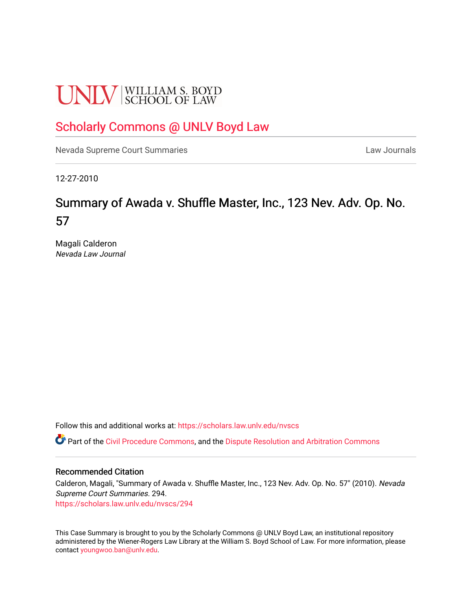# **UNLV** SCHOOL OF LAW

# [Scholarly Commons @ UNLV Boyd Law](https://scholars.law.unlv.edu/)

[Nevada Supreme Court Summaries](https://scholars.law.unlv.edu/nvscs) **Law Journals** Law Journals

12-27-2010

# Summary of Awada v. Shuffle Master, Inc., 123 Nev. Adv. Op. No. 57

Magali Calderon Nevada Law Journal

Follow this and additional works at: [https://scholars.law.unlv.edu/nvscs](https://scholars.law.unlv.edu/nvscs?utm_source=scholars.law.unlv.edu%2Fnvscs%2F294&utm_medium=PDF&utm_campaign=PDFCoverPages)

Part of the [Civil Procedure Commons,](http://network.bepress.com/hgg/discipline/584?utm_source=scholars.law.unlv.edu%2Fnvscs%2F294&utm_medium=PDF&utm_campaign=PDFCoverPages) and the [Dispute Resolution and Arbitration Commons](http://network.bepress.com/hgg/discipline/890?utm_source=scholars.law.unlv.edu%2Fnvscs%2F294&utm_medium=PDF&utm_campaign=PDFCoverPages) 

## Recommended Citation

Calderon, Magali, "Summary of Awada v. Shuffle Master, Inc., 123 Nev. Adv. Op. No. 57" (2010). Nevada Supreme Court Summaries. 294.

[https://scholars.law.unlv.edu/nvscs/294](https://scholars.law.unlv.edu/nvscs/294?utm_source=scholars.law.unlv.edu%2Fnvscs%2F294&utm_medium=PDF&utm_campaign=PDFCoverPages)

This Case Summary is brought to you by the Scholarly Commons @ UNLV Boyd Law, an institutional repository administered by the Wiener-Rogers Law Library at the William S. Boyd School of Law. For more information, please contact [youngwoo.ban@unlv.edu](mailto:youngwoo.ban@unlv.edu).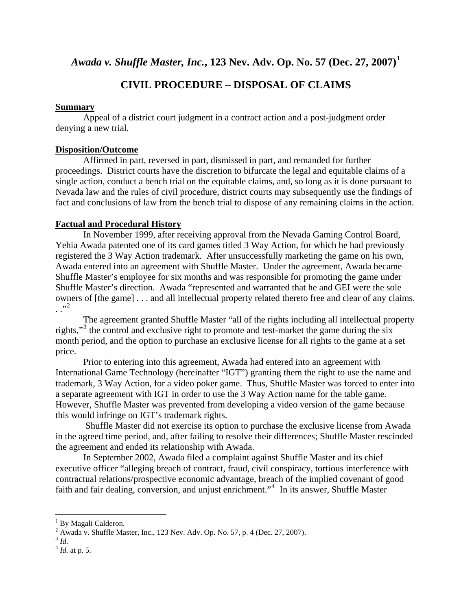*Awada v. Shuffle Master, Inc.***, 123 Nev. Adv. Op. No. 57 (Dec. 27, 2007)[1](#page-1-0)**

# **CIVIL PROCEDURE – DISPOSAL OF CLAIMS**

# **Summary**

Appeal of a district court judgment in a contract action and a post-judgment order denying a new trial.

# **Disposition/Outcome**

 Affirmed in part, reversed in part, dismissed in part, and remanded for further proceedings. District courts have the discretion to bifurcate the legal and equitable claims of a single action, conduct a bench trial on the equitable claims, and, so long as it is done pursuant to Nevada law and the rules of civil procedure, district courts may subsequently use the findings of fact and conclusions of law from the bench trial to dispose of any remaining claims in the action.

# **Factual and Procedural History**

 In November 1999, after receiving approval from the Nevada Gaming Control Board, Yehia Awada patented one of its card games titled 3 Way Action, for which he had previously registered the 3 Way Action trademark. After unsuccessfully marketing the game on his own, Awada entered into an agreement with Shuffle Master. Under the agreement, Awada became Shuffle Master's employee for six months and was responsible for promoting the game under Shuffle Master's direction. Awada "represented and warranted that he and GEI were the sole owners of [the game] . . . and all intellectual property related thereto free and clear of any claims.  $\ldots$ <sup>3,[2](#page-1-1)</sup>

The agreement granted Shuffle Master "all of the rights including all intellectual property rights,"<sup>[3](#page-1-2)</sup> the control and exclusive right to promote and test-market the game during the six month period, and the option to purchase an exclusive license for all rights to the game at a set price.

Prior to entering into this agreement, Awada had entered into an agreement with International Game Technology (hereinafter "IGT") granting them the right to use the name and trademark, 3 Way Action, for a video poker game. Thus, Shuffle Master was forced to enter into a separate agreement with IGT in order to use the 3 Way Action name for the table game. However, Shuffle Master was prevented from developing a video version of the game because this would infringe on IGT's trademark rights.

 Shuffle Master did not exercise its option to purchase the exclusive license from Awada in the agreed time period, and, after failing to resolve their differences; Shuffle Master rescinded the agreement and ended its relationship with Awada.

 In September 2002, Awada filed a complaint against Shuffle Master and its chief executive officer "alleging breach of contract, fraud, civil conspiracy, tortious interference with contractual relations/prospective economic advantage, breach of the implied covenant of good faith and fair dealing, conversion, and unjust enrichment."<sup>[4](#page-1-3)</sup> In its answer, Shuffle Master

<span id="page-1-2"></span><span id="page-1-1"></span>

 $\overline{a}$ 

<span id="page-1-0"></span><sup>&</sup>lt;sup>1</sup> By Magali Calderon.

<sup>&</sup>lt;sup>2</sup> Awada v. Shuffle Master, Inc., 123 Nev. Adv. Op. No. 57, p. 4 (Dec. 27, 2007).<br><sup>3</sup> *Id.*  $^{4}$  *Id.* at p. 5.

<span id="page-1-3"></span>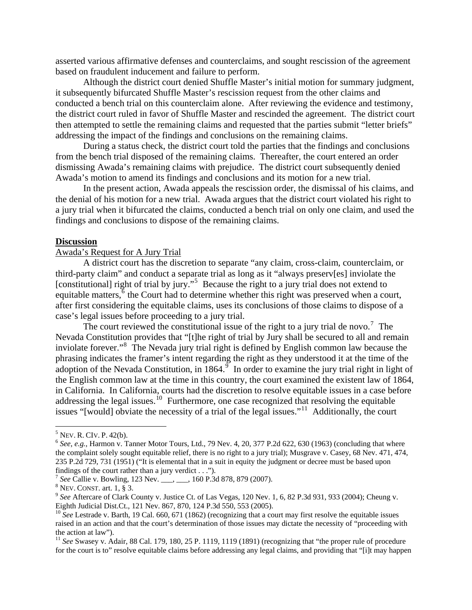asserted various affirmative defenses and counterclaims, and sought rescission of the agreement based on fraudulent inducement and failure to perform.

 Although the district court denied Shuffle Master's initial motion for summary judgment, it subsequently bifurcated Shuffle Master's rescission request from the other claims and conducted a bench trial on this counterclaim alone. After reviewing the evidence and testimony, the district court ruled in favor of Shuffle Master and rescinded the agreement. The district court then attempted to settle the remaining claims and requested that the parties submit "letter briefs" addressing the impact of the findings and conclusions on the remaining claims.

 During a status check, the district court told the parties that the findings and conclusions from the bench trial disposed of the remaining claims. Thereafter, the court entered an order dismissing Awada's remaining claims with prejudice. The district court subsequently denied Awada's motion to amend its findings and conclusions and its motion for a new trial.

 In the present action, Awada appeals the rescission order, the dismissal of his claims, and the denial of his motion for a new trial. Awada argues that the district court violated his right to a jury trial when it bifurcated the claims, conducted a bench trial on only one claim, and used the findings and conclusions to dispose of the remaining claims.

#### **Discussion**

#### Awada's Request for A Jury Trial

 A district court has the discretion to separate "any claim, cross-claim, counterclaim, or third-party claim" and conduct a separate trial as long as it "always preserv[es] inviolate the [constitutional] right of trial by jury."<sup>[5](#page-2-0)</sup> Because the right to a jury trial does not extend to equitable matters, $\overline{6}$  $\overline{6}$  $\overline{6}$  the Court had to determine whether this right was preserved when a court, after first considering the equitable claims, uses its conclusions of those claims to dispose of a case's legal issues before proceeding to a jury trial.

The court reviewed the constitutional issue of the right to a jury trial de novo.<sup>[7](#page-2-2)</sup> The Nevada Constitution provides that "[t]he right of trial by Jury shall be secured to all and remain inviolate forever."<sup>[8](#page-2-3)</sup> The Nevada jury trial right is defined by English common law because the phrasing indicates the framer's intent regarding the right as they understood it at the time of the adoption of the Nevada Constitution, in  $1864.$ <sup>[9](#page-2-4)</sup> In order to examine the jury trial right in light of the English common law at the time in this country, the court examined the existent law of 1864, in California. In California, courts had the discretion to resolve equitable issues in a case before addressing the legal issues.<sup>[10](#page-2-5)</sup> Furthermore, one case recognized that resolving the equitable issues "[would] obviate the necessity of a trial of the legal issues."[11](#page-2-6) Additionally, the court

 $\overline{a}$ 

<span id="page-2-0"></span> $5$  Nev. R. CIv. P. 42(b).

<span id="page-2-1"></span> $6$  *See*, *e.g.*, Harmon v. Tanner Motor Tours, Ltd., 79 Nev. 4, 20, 377 P.2d 622, 630 (1963) (concluding that where the complaint solely sought equitable relief, there is no right to a jury trial); Musgrave v. Casey, 68 Nev. 471, 474, 235 P.2d 729, 731 (1951) ("It is elemental that in a suit in equity the judgment or decree must be based upon findings of the court rather than a jury verdict . . .").

<span id="page-2-2"></span><sup>&</sup>lt;sup>7</sup> See Callie v. Bowling, 123 Nev. \_\_\_, \_\_\_, 160 P.3d 878, 879 (2007).<br><sup>8</sup> Nev. CONST. art. 1, § 3.

<span id="page-2-4"></span><span id="page-2-3"></span><sup>&</sup>lt;sup>9</sup> See Aftercare of Clark County v. Justice Ct. of Las Vegas, 120 Nev. 1, 6, 82 P.3d 931, 933 (2004); Cheung v. Eighth Judicial Dist.Ct., 121 Nev. 867, 870, 124 P.3d 550, 553 (2005).

<span id="page-2-5"></span><sup>&</sup>lt;sup>10</sup> *See* Lestrade v. Barth, 19 Cal. 660, 671 (1862) (recognizing that a court may first resolve the equitable issues raised in an action and that the court's determination of those issues may dictate the necessity of "proceeding with the action at law").

<span id="page-2-6"></span><sup>&</sup>lt;sup>11</sup> See Swasey v. Adair, 88 Cal. 179, 180, 25 P. 1119, 1119 (1891) (recognizing that "the proper rule of procedure for the court is to" resolve equitable claims before addressing any legal claims, and providing that "[i]t may happen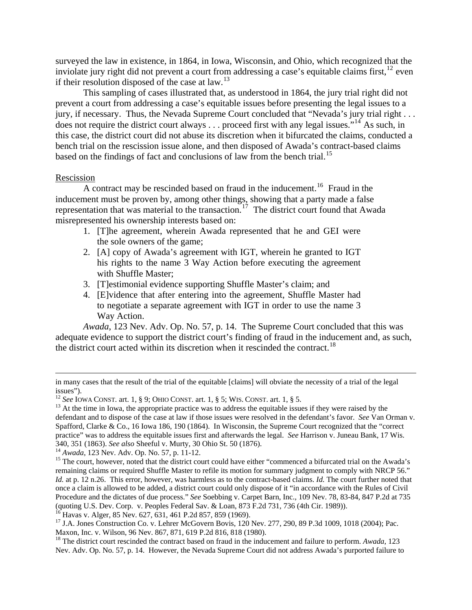surveyed the law in existence, in 1864, in Iowa, Wisconsin, and Ohio, which recognized that the inviolate jury right did not prevent a court from addressing a case's equitable claims first,  $^{12}$  $^{12}$  $^{12}$  even if their resolution disposed of the case at law.[13](#page-3-1)

This sampling of cases illustrated that, as understood in 1864, the jury trial right did not prevent a court from addressing a case's equitable issues before presenting the legal issues to a jury, if necessary. Thus, the Nevada Supreme Court concluded that "Nevada's jury trial right . . . does not require the district court always . . . proceed first with any legal issues."<sup>[14](#page-3-2)</sup> As such, in this case, the district court did not abuse its discretion when it bifurcated the claims, conducted a bench trial on the rescission issue alone, and then disposed of Awada's contract-based claims based on the findings of fact and conclusions of law from the bench trial.<sup>[15](#page-3-3)</sup>

#### Rescission

 $\overline{A}$  contract may be rescinded based on fraud in the inducement.<sup>[16](#page-3-4)</sup> Fraud in the inducement must be proven by, among other things, showing that a party made a false representation that was material to the transaction.<sup>[17](#page-3-5)</sup> The district court found that Awada misrepresented his ownership interests based on:

- 1. [T]he agreement, wherein Awada represented that he and GEI were the sole owners of the game;
- 2. [A] copy of Awada's agreement with IGT, wherein he granted to IGT his rights to the name 3 Way Action before executing the agreement with Shuffle Master;
- 3. [T]estimonial evidence supporting Shuffle Master's claim; and
- 4. [E]vidence that after entering into the agreement, Shuffle Master had to negotiate a separate agreement with IGT in order to use the name 3 Way Action.

*Awada*, 123 Nev. Adv. Op. No. 57, p. 14. The Supreme Court concluded that this was adequate evidence to support the district court's finding of fraud in the inducement and, as such, the district court acted within its discretion when it rescinded the contract.<sup>[18](#page-3-6)</sup>

in many cases that the result of the trial of the equitable [claims] will obviate the necessity of a trial of the legal issues").<br><sup>12</sup> *See* IOWA CONST. art. 1, § 9; OHIO CONST. art. 1, § 5; WIS. CONST. art. 1, § 5.

<span id="page-3-1"></span><span id="page-3-0"></span><sup>&</sup>lt;sup>13</sup> At the time in Iowa, the appropriate practice was to address the equitable issues if they were raised by the defendant and to dispose of the case at law if those issues were resolved in the defendant's favor. *See* Van Orman v. Spafford, Clarke & Co., 16 Iowa 186, 190 (1864). In Wisconsin, the Supreme Court recognized that the "correct practice" was to address the equitable issues first and afterwards the legal. *See* Harrison v. Juneau Bank, 17 Wis. 340, 351 (1863). See also Sheeful v. Murty, 30 Ohio St. 50 (1876).<br><sup>14</sup> Awada, 123 Nev. Adv. Op. No. 57, p. 11-12.<br><sup>15</sup> The court, however, noted that the district court could have either "commenced a bifurcated trial on

<span id="page-3-2"></span>

<span id="page-3-3"></span>remaining claims or required Shuffle Master to refile its motion for summary judgment to comply with NRCP 56." *Id.* at p. 12 n.26. This error, however, was harmless as to the contract-based claims. *Id.* The court further noted that once a claim is allowed to be added, a district court could only dispose of it "in accordance with the Rules of Civil Procedure and the dictates of due process." *See* Soebbing v. Carpet Barn, Inc.*,* 109 Nev. 78, 83-84, 847 P.2d at 735 (quoting U.S. Dev. Corp. v. Peoples Federal Sav. & Loan, 873 F.2d 731, 736 (4th Cir. 1989)).

<span id="page-3-4"></span><sup>&</sup>lt;sup>16</sup> Havas v. Alger, 85 Nev. 627, 631, 461 P.2d 857, 859 (1969).

<span id="page-3-5"></span><sup>&</sup>lt;sup>17</sup> J.A. Jones Construction Co. v. Lehrer McGovern Bovis, 120 Nev. 277, 290, 89 P.3d 1009, 1018 (2004); Pac. Maxon, Inc. v. Wilson, 96 Nev. 867, 871, 619 P.2d 816, 818 (1980).

<span id="page-3-6"></span><sup>18</sup> The district court rescinded the contract based on fraud in the inducement and failure to perform. *Awada*, 123 Nev. Adv. Op. No. 57, p. 14. However, the Nevada Supreme Court did not address Awada's purported failure to